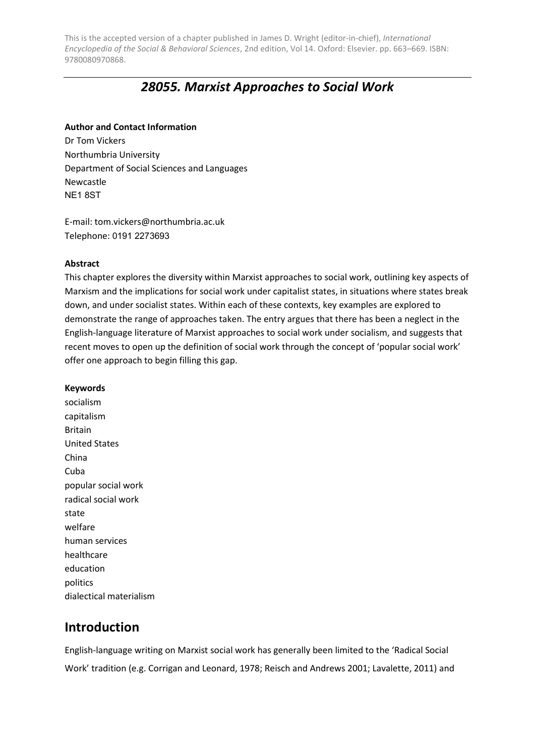# *28055. Marxist Approaches to Social Work*

### **Author and Contact Information**

Dr Tom Vickers Northumbria University Department of Social Sciences and Languages Newcastle NE1 8ST

E-mail: tom.vickers@northumbria.ac.uk Telephone: 0191 2273693

### **Abstract**

This chapter explores the diversity within Marxist approaches to social work, outlining key aspects of Marxism and the implications for social work under capitalist states, in situations where states break down, and under socialist states. Within each of these contexts, key examples are explored to demonstrate the range of approaches taken. The entry argues that there has been a neglect in the English-language literature of Marxist approaches to social work under socialism, and suggests that recent moves to open up the definition of social work through the concept of 'popular social work' offer one approach to begin filling this gap.

### **Keywords**

socialism capitalism Britain United States China Cuba popular social work radical social work state welfare human services healthcare education politics dialectical materialism

# **Introduction**

English-language writing on Marxist social work has generally been limited to the 'Radical Social Work' tradition (e.g. Corrigan and Leonard, 1978; Reisch and Andrews 2001; Lavalette, 2011) and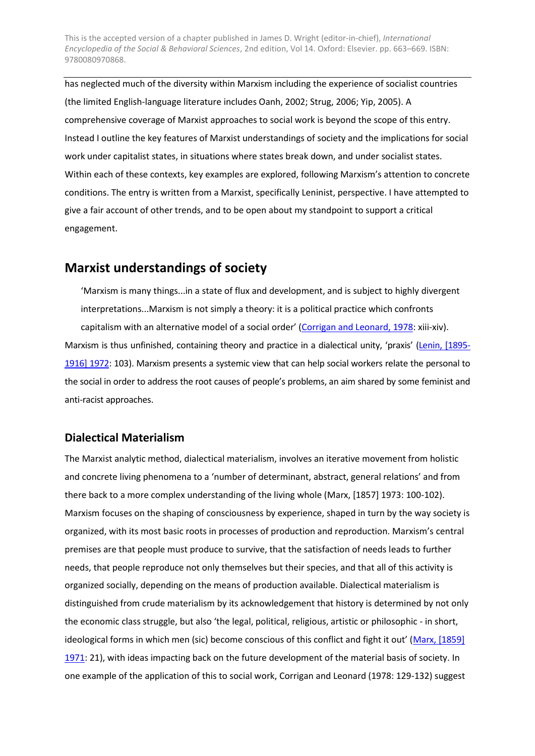has neglected much of the diversity within Marxism including the experience of socialist countries (the limited English-language literature includes Oanh, 2002; Strug, 2006; Yip, 2005). A comprehensive coverage of Marxist approaches to social work is beyond the scope of this entry. Instead I outline the key features of Marxist understandings of society and the implications for social work under capitalist states, in situations where states break down, and under socialist states. Within each of these contexts, key examples are explored, following Marxism's attention to concrete conditions. The entry is written from a Marxist, specifically Leninist, perspective. I have attempted to give a fair account of other trends, and to be open about my standpoint to support a critical engagement.

## **Marxist understandings of society**

'Marxism is many things...in a state of flux and development, and is subject to highly divergent interpretations...Marxism is not simply a theory: it is a political practice which confronts capitalism with an alternative model of a social order' ([Corrigan and Leonard, 1978:](#page-13-0) xiii-xiv). Marxism is thus unfinished, containing theory and practice in a dialectical unity, 'praxis' [\(Lenin,](#page-14-0) [1895-[1916\] 1972:](#page-14-0) 103). Marxism presents a systemic view that can help social workers relate the personal to the social in order to address the root causes of people's problems, an aim shared by some feminist and anti-racist approaches.

### **Dialectical Materialism**

The Marxist analytic method, dialectical materialism, involves an iterative movement from holistic and concrete living phenomena to a 'number of determinant, abstract, general relations' and from there back to a more complex understanding of the living whole (Marx, [1857] 1973: 100-102). Marxism focuses on the shaping of consciousness by experience, shaped in turn by the way society is organized, with its most basic roots in processes of production and reproduction. Marxism's central premises are that people must produce to survive, that the satisfaction of needs leads to further needs, that people reproduce not only themselves but their species, and that all of this activity is organized socially, depending on the means of production available. Dialectical materialism is distinguished from crude materialism by its acknowledgement that history is determined by not only the economic class struggle, but also 'the legal, political, religious, artistic or philosophic - in short, ideological forms in which men (sic) become conscious of this conflict and fight it out' ([Marx, \[1859\]](#page-14-1)  [1971:](#page-14-1) 21), with ideas impacting back on the future development of the material basis of society. In one example of the application of this to social work, Corrigan and Leonard (1978: 129-132) suggest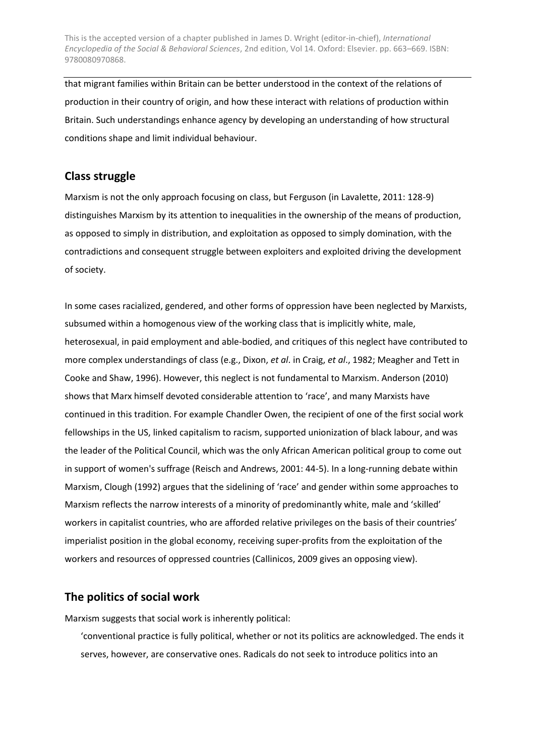that migrant families within Britain can be better understood in the context of the relations of production in their country of origin, and how these interact with relations of production within Britain. Such understandings enhance agency by developing an understanding of how structural conditions shape and limit individual behaviour.

## **Class struggle**

Marxism is not the only approach focusing on class, but Ferguson (in Lavalette, 2011: 128-9) distinguishes Marxism by its attention to inequalities in the ownership of the means of production, as opposed to simply in distribution, and exploitation as opposed to simply domination, with the contradictions and consequent struggle between exploiters and exploited driving the development of society.

In some cases racialized, gendered, and other forms of oppression have been neglected by Marxists, subsumed within a homogenous view of the working class that is implicitly white, male, heterosexual, in paid employment and able-bodied, and critiques of this neglect have contributed to more complex understandings of class (e.g., Dixon, *et al*. in Craig, *et al*., 1982; Meagher and Tett in Cooke and Shaw, 1996). However, this neglect is not fundamental to Marxism. Anderson (2010) shows that Marx himself devoted considerable attention to 'race', and many Marxists have continued in this tradition. For example Chandler Owen, the recipient of one of the first social work fellowships in the US, linked capitalism to racism, supported unionization of black labour, and was the leader of the Political Council, which was the only African American political group to come out in support of women's suffrage (Reisch and Andrews, 2001: 44-5). In a long-running debate within Marxism, Clough (1992) argues that the sidelining of 'race' and gender within some approaches to Marxism reflects the narrow interests of a minority of predominantly white, male and 'skilled' workers in capitalist countries, who are afforded relative privileges on the basis of their countries' imperialist position in the global economy, receiving super-profits from the exploitation of the workers and resources of oppressed countries (Callinicos, 2009 gives an opposing view).

### **The politics of social work**

Marxism suggests that social work is inherently political:

'conventional practice is fully political, whether or not its politics are acknowledged. The ends it serves, however, are conservative ones. Radicals do not seek to introduce politics into an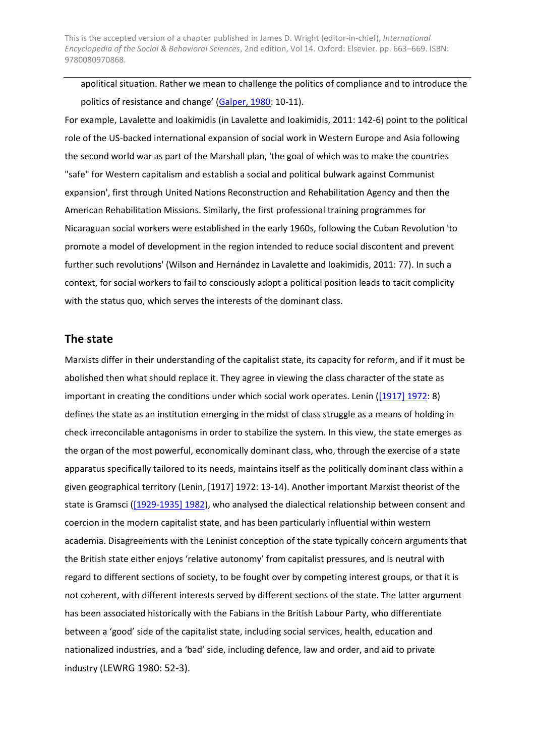apolitical situation. Rather we mean to challenge the politics of compliance and to introduce the politics of resistance and change' ([Galper, 1980:](#page-13-1) 10-11).

For example, Lavalette and Ioakimidis (in Lavalette and Ioakimidis, 2011: 142-6) point to the political role of the US-backed international expansion of social work in Western Europe and Asia following the second world war as part of the Marshall plan, 'the goal of which was to make the countries "safe" for Western capitalism and establish a social and political bulwark against Communist expansion', first through United Nations Reconstruction and Rehabilitation Agency and then the American Rehabilitation Missions. Similarly, the first professional training programmes for Nicaraguan social workers were established in the early 1960s, following the Cuban Revolution 'to promote a model of development in the region intended to reduce social discontent and prevent further such revolutions' (Wilson and Hernández in Lavalette and Ioakimidis, 2011: 77). In such a context, for social workers to fail to consciously adopt a political position leads to tacit complicity with the status quo, which serves the interests of the dominant class.

### **The state**

Marxists differ in their understanding of the capitalist state, its capacity for reform, and if it must be abolished then what should replace it. They agree in viewing the class character of the state as important in creating the conditions under which social work operates. Lenin [\(\[1917\] 1972:](#page-14-2) 8) defines the state as an institution emerging in the midst of class struggle as a means of holding in check irreconcilable antagonisms in order to stabilize the system. In this view, the state emerges as the organ of the most powerful, economically dominant class, who, through the exercise of a state apparatus specifically tailored to its needs, maintains itself as the politically dominant class within a given geographical territory (Lenin, [1917] 1972: 13-14). Another important Marxist theorist of the state is Gramsci [\(\[1929-1935\] 1982\)](#page-13-2), who analysed the dialectical relationship between consent and coercion in the modern capitalist state, and has been particularly influential within western academia. Disagreements with the Leninist conception of the state typically concern arguments that the British state either enjoys 'relative autonomy' from capitalist pressures, and is neutral with regard to different sections of society, to be fought over by competing interest groups, or that it is not coherent, with different interests served by different sections of the state. The latter argument has been associated historically with the Fabians in the British Labour Party, who differentiate between a 'good' side of the capitalist state, including social services, health, education and nationalized industries, and a 'bad' side, including defence, law and order, and aid to private industry (LEWRG 1980: 52-3).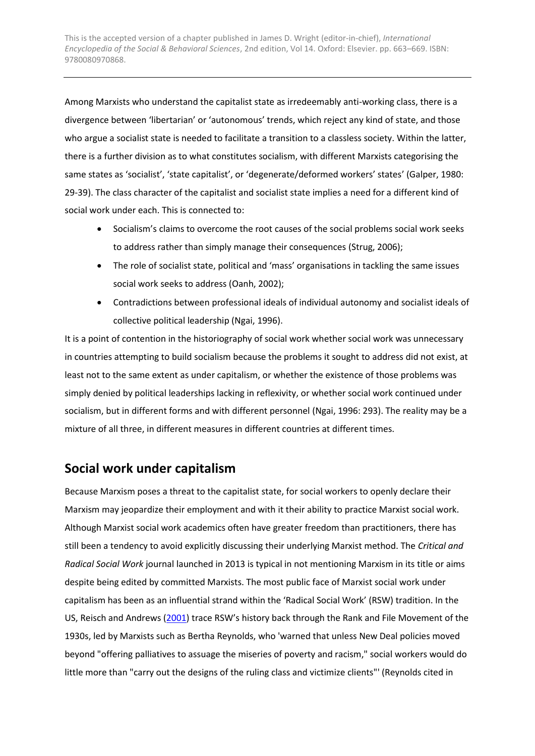Among Marxists who understand the capitalist state as irredeemably anti-working class, there is a divergence between 'libertarian' or 'autonomous' trends, which reject any kind of state, and those who argue a socialist state is needed to facilitate a transition to a classless society. Within the latter, there is a further division as to what constitutes socialism, with different Marxists categorising the same states as 'socialist', 'state capitalist', or 'degenerate/deformed workers' states' (Galper, 1980: 29-39). The class character of the capitalist and socialist state implies a need for a different kind of social work under each. This is connected to:

- Socialism's claims to overcome the root causes of the social problems social work seeks to address rather than simply manage their consequences (Strug, 2006);
- The role of socialist state, political and 'mass' organisations in tackling the same issues social work seeks to address (Oanh, 2002);
- Contradictions between professional ideals of individual autonomy and socialist ideals of collective political leadership (Ngai, 1996).

It is a point of contention in the historiography of social work whether social work was unnecessary in countries attempting to build socialism because the problems it sought to address did not exist, at least not to the same extent as under capitalism, or whether the existence of those problems was simply denied by political leaderships lacking in reflexivity, or whether social work continued under socialism, but in different forms and with different personnel (Ngai, 1996: 293). The reality may be a mixture of all three, in different measures in different countries at different times.

# **Social work under capitalism**

Because Marxism poses a threat to the capitalist state, for social workers to openly declare their Marxism may jeopardize their employment and with it their ability to practice Marxist social work. Although Marxist social work academics often have greater freedom than practitioners, there has still been a tendency to avoid explicitly discussing their underlying Marxist method. The *Critical and Radical Social Work* journal launched in 2013 is typical in not mentioning Marxism in its title or aims despite being edited by committed Marxists. The most public face of Marxist social work under capitalism has been as an influential strand within the 'Radical Social Work' (RSW) tradition. In the US, Reisch and Andrews [\(2001](#page-14-3)) trace RSW's history back through the Rank and File Movement of the 1930s, led by Marxists such as Bertha Reynolds, who 'warned that unless New Deal policies moved beyond "offering palliatives to assuage the miseries of poverty and racism," social workers would do little more than "carry out the designs of the ruling class and victimize clients"' (Reynolds cited in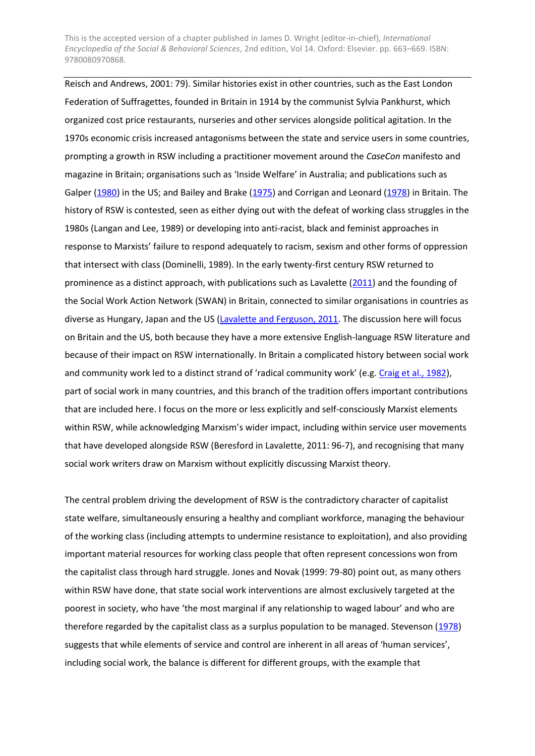Reisch and Andrews, 2001: 79). Similar histories exist in other countries, such as the East London Federation of Suffragettes, founded in Britain in 1914 by the communist Sylvia Pankhurst, which organized cost price restaurants, nurseries and other services alongside political agitation. In the 1970s economic crisis increased antagonisms between the state and service users in some countries, prompting a growth in RSW including a practitioner movement around the *CaseCon* manifesto and magazine in Britain; organisations such as 'Inside Welfare' in Australia; and publications such as Galper [\(1980\)](#page-13-1) in the US; and Bailey and Brake [\(1975\)](#page-13-3) and Corrigan and Leonard [\(1978\)](#page-13-0) in Britain. The history of RSW is contested, seen as either dying out with the defeat of working class struggles in the 1980s (Langan and Lee, 1989) or developing into anti-racist, black and feminist approaches in response to Marxists' failure to respond adequately to racism, sexism and other forms of oppression that intersect with class (Dominelli, 1989). In the early twenty-first century RSW returned to prominence as a distinct approach, with publications such as Lavalette [\(2011\)](#page-13-4) and the founding of the Social Work Action Network (SWAN) in Britain, connected to similar organisations in countries as diverse as Hungary, Japan and the US [\(Lavalette and Ferguson, 2011.](#page-13-5) The discussion here will focus on Britain and the US, both because they have a more extensive English-language RSW literature and because of their impact on RSW internationally. In Britain a complicated history between social work and community work led to a distinct strand of 'radical community work' (e.g. [Craig et al., 1982\)](#page-13-6), part of social work in many countries, and this branch of the tradition offers important contributions that are included here. I focus on the more or less explicitly and self-consciously Marxist elements within RSW, while acknowledging Marxism's wider impact, including within service user movements that have developed alongside RSW (Beresford in Lavalette, 2011: 96-7), and recognising that many social work writers draw on Marxism without explicitly discussing Marxist theory.

The central problem driving the development of RSW is the contradictory character of capitalist state welfare, simultaneously ensuring a healthy and compliant workforce, managing the behaviour of the working class (including attempts to undermine resistance to exploitation), and also providing important material resources for working class people that often represent concessions won from the capitalist class through hard struggle. Jones and Novak (1999: 79-80) point out, as many others within RSW have done, that state social work interventions are almost exclusively targeted at the poorest in society, who have 'the most marginal if any relationship to waged labour' and who are therefore regarded by the capitalist class as a surplus population to be managed. Stevenson [\(1978\)](#page-14-4) suggests that while elements of service and control are inherent in all areas of 'human services', including social work, the balance is different for different groups, with the example that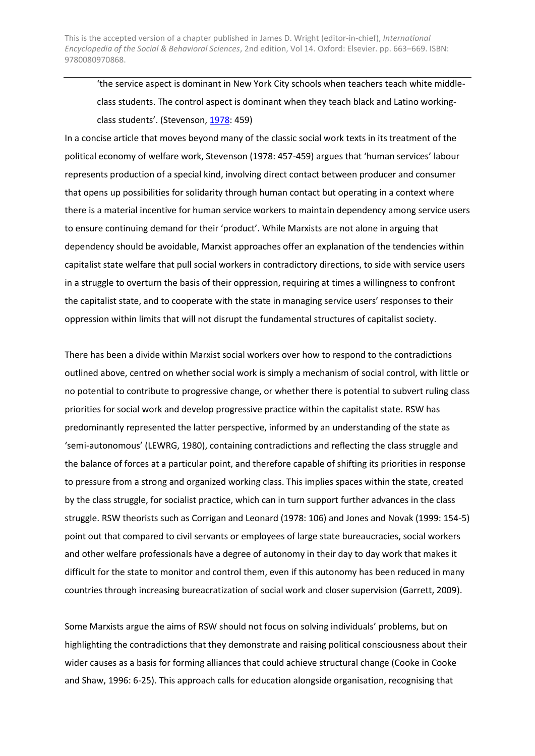'the service aspect is dominant in New York City schools when teachers teach white middleclass students. The control aspect is dominant when they teach black and Latino workingclass students'. (Stevenson, [1978:](#page-14-4) 459)

In a concise article that moves beyond many of the classic social work texts in its treatment of the political economy of welfare work, Stevenson (1978: 457-459) argues that 'human services' labour represents production of a special kind, involving direct contact between producer and consumer that opens up possibilities for solidarity through human contact but operating in a context where there is a material incentive for human service workers to maintain dependency among service users to ensure continuing demand for their 'product'. While Marxists are not alone in arguing that dependency should be avoidable, Marxist approaches offer an explanation of the tendencies within capitalist state welfare that pull social workers in contradictory directions, to side with service users in a struggle to overturn the basis of their oppression, requiring at times a willingness to confront the capitalist state, and to cooperate with the state in managing service users' responses to their oppression within limits that will not disrupt the fundamental structures of capitalist society.

There has been a divide within Marxist social workers over how to respond to the contradictions outlined above, centred on whether social work is simply a mechanism of social control, with little or no potential to contribute to progressive change, or whether there is potential to subvert ruling class priorities for social work and develop progressive practice within the capitalist state. RSW has predominantly represented the latter perspective, informed by an understanding of the state as 'semi-autonomous' (LEWRG, 1980), containing contradictions and reflecting the class struggle and the balance of forces at a particular point, and therefore capable of shifting its priorities in response to pressure from a strong and organized working class. This implies spaces within the state, created by the class struggle, for socialist practice, which can in turn support further advances in the class struggle. RSW theorists such as Corrigan and Leonard (1978: 106) and Jones and Novak (1999: 154-5) point out that compared to civil servants or employees of large state bureaucracies, social workers and other welfare professionals have a degree of autonomy in their day to day work that makes it difficult for the state to monitor and control them, even if this autonomy has been reduced in many countries through increasing bureacratization of social work and closer supervision (Garrett, 2009).

Some Marxists argue the aims of RSW should not focus on solving individuals' problems, but on highlighting the contradictions that they demonstrate and raising political consciousness about their wider causes as a basis for forming alliances that could achieve structural change (Cooke in Cooke and Shaw, 1996: 6-25). This approach calls for education alongside organisation, recognising that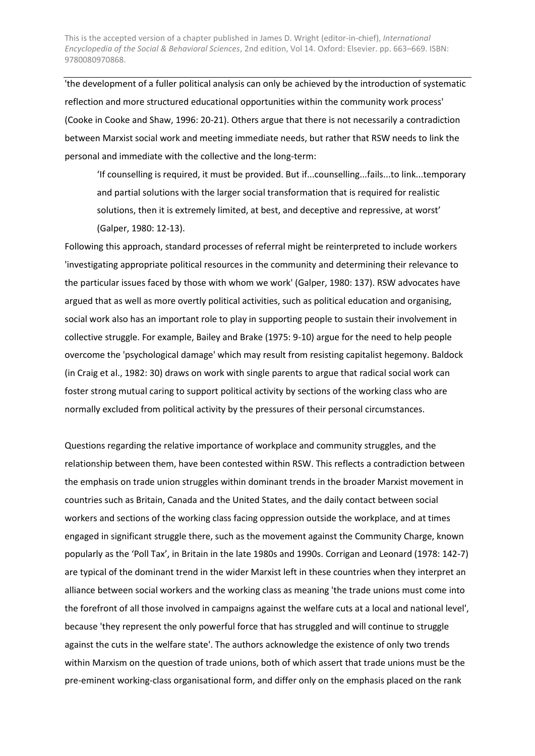'the development of a fuller political analysis can only be achieved by the introduction of systematic reflection and more structured educational opportunities within the community work process' (Cooke in Cooke and Shaw, 1996: 20-21). Others argue that there is not necessarily a contradiction between Marxist social work and meeting immediate needs, but rather that RSW needs to link the personal and immediate with the collective and the long-term:

'If counselling is required, it must be provided. But if...counselling...fails...to link...temporary and partial solutions with the larger social transformation that is required for realistic solutions, then it is extremely limited, at best, and deceptive and repressive, at worst' (Galper, 1980: 12-13).

Following this approach, standard processes of referral might be reinterpreted to include workers 'investigating appropriate political resources in the community and determining their relevance to the particular issues faced by those with whom we work' (Galper, 1980: 137). RSW advocates have argued that as well as more overtly political activities, such as political education and organising, social work also has an important role to play in supporting people to sustain their involvement in collective struggle. For example, Bailey and Brake (1975: 9-10) argue for the need to help people overcome the 'psychological damage' which may result from resisting capitalist hegemony. Baldock (in Craig et al., 1982: 30) draws on work with single parents to argue that radical social work can foster strong mutual caring to support political activity by sections of the working class who are normally excluded from political activity by the pressures of their personal circumstances.

Questions regarding the relative importance of workplace and community struggles, and the relationship between them, have been contested within RSW. This reflects a contradiction between the emphasis on trade union struggles within dominant trends in the broader Marxist movement in countries such as Britain, Canada and the United States, and the daily contact between social workers and sections of the working class facing oppression outside the workplace, and at times engaged in significant struggle there, such as the movement against the Community Charge, known popularly as the 'Poll Tax', in Britain in the late 1980s and 1990s. Corrigan and Leonard (1978: 142-7) are typical of the dominant trend in the wider Marxist left in these countries when they interpret an alliance between social workers and the working class as meaning 'the trade unions must come into the forefront of all those involved in campaigns against the welfare cuts at a local and national level', because 'they represent the only powerful force that has struggled and will continue to struggle against the cuts in the welfare state'. The authors acknowledge the existence of only two trends within Marxism on the question of trade unions, both of which assert that trade unions must be the pre-eminent working-class organisational form, and differ only on the emphasis placed on the rank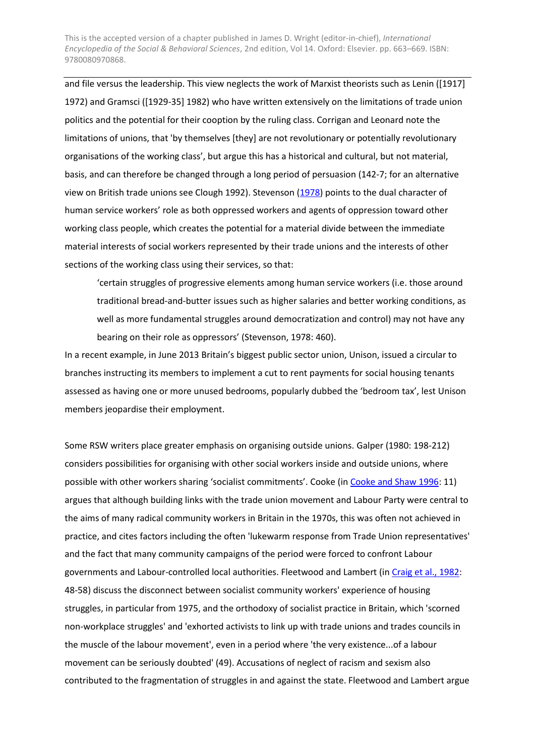and file versus the leadership. This view neglects the work of Marxist theorists such as Lenin ([1917] 1972) and Gramsci ([1929-35] 1982) who have written extensively on the limitations of trade union politics and the potential for their cooption by the ruling class. Corrigan and Leonard note the limitations of unions, that 'by themselves [they] are not revolutionary or potentially revolutionary organisations of the working class', but argue this has a historical and cultural, but not material, basis, and can therefore be changed through a long period of persuasion (142-7; for an alternative view on British trade unions see Clough 1992). Stevenson [\(1978\)](#page-14-4) points to the dual character of human service workers' role as both oppressed workers and agents of oppression toward other working class people, which creates the potential for a material divide between the immediate material interests of social workers represented by their trade unions and the interests of other sections of the working class using their services, so that:

'certain struggles of progressive elements among human service workers (i.e. those around traditional bread-and-butter issues such as higher salaries and better working conditions, as well as more fundamental struggles around democratization and control) may not have any bearing on their role as oppressors' (Stevenson, 1978: 460).

In a recent example, in June 2013 Britain's biggest public sector union, Unison, issued a circular to branches instructing its members to implement a cut to rent payments for social housing tenants assessed as having one or more unused bedrooms, popularly dubbed the 'bedroom tax', lest Unison members jeopardise their employment.

Some RSW writers place greater emphasis on organising outside unions. Galper (1980: 198-212) considers possibilities for organising with other social workers inside and outside unions, where possible with other workers sharing 'socialist commitments'. Cooke (in [Cooke and Shaw 1996:](#page-13-7) 11) argues that although building links with the trade union movement and Labour Party were central to the aims of many radical community workers in Britain in the 1970s, this was often not achieved in practice, and cites factors including the often 'lukewarm response from Trade Union representatives' and the fact that many community campaigns of the period were forced to confront Labour governments and Labour-controlled local authorities. Fleetwood and Lambert (in [Craig et al., 1982:](#page-13-6) 48-58) discuss the disconnect between socialist community workers' experience of housing struggles, in particular from 1975, and the orthodoxy of socialist practice in Britain, which 'scorned non-workplace struggles' and 'exhorted activists to link up with trade unions and trades councils in the muscle of the labour movement', even in a period where 'the very existence...of a labour movement can be seriously doubted' (49). Accusations of neglect of racism and sexism also contributed to the fragmentation of struggles in and against the state. Fleetwood and Lambert argue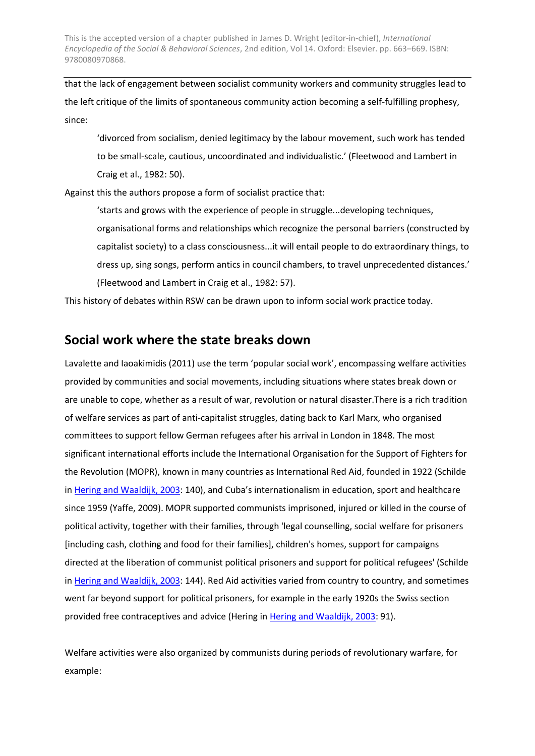that the lack of engagement between socialist community workers and community struggles lead to the left critique of the limits of spontaneous community action becoming a self-fulfilling prophesy, since:

'divorced from socialism, denied legitimacy by the labour movement, such work has tended to be small-scale, cautious, uncoordinated and individualistic.' (Fleetwood and Lambert in Craig et al., 1982: 50).

Against this the authors propose a form of socialist practice that:

'starts and grows with the experience of people in struggle...developing techniques, organisational forms and relationships which recognize the personal barriers (constructed by capitalist society) to a class consciousness...it will entail people to do extraordinary things, to dress up, sing songs, perform antics in council chambers, to travel unprecedented distances.' (Fleetwood and Lambert in Craig et al., 1982: 57).

This history of debates within RSW can be drawn upon to inform social work practice today.

## **Social work where the state breaks down**

Lavalette and Iaoakimidis (2011) use the term 'popular social work', encompassing welfare activities provided by communities and social movements, including situations where states break down or are unable to cope, whether as a result of war, revolution or natural disaster.There is a rich tradition of welfare services as part of anti-capitalist struggles, dating back to Karl Marx, who organised committees to support fellow German refugees after his arrival in London in 1848. The most significant international efforts include the International Organisation for the Support of Fighters for the Revolution (MOPR), known in many countries as International Red Aid, founded in 1922 (Schilde in [Hering and Waaldijk, 2003](#page-13-8): 140), and Cuba's internationalism in education, sport and healthcare since 1959 (Yaffe, 2009). MOPR supported communists imprisoned, injured or killed in the course of political activity, together with their families, through 'legal counselling, social welfare for prisoners [including cash, clothing and food for their families], children's homes, support for campaigns directed at the liberation of communist political prisoners and support for political refugees' (Schilde in [Hering and Waaldijk, 2003:](#page-13-8) 144). Red Aid activities varied from country to country, and sometimes went far beyond support for political prisoners, for example in the early 1920s the Swiss section provided free contraceptives and advice (Hering in [Hering and Waaldijk, 2003:](#page-13-8) 91).

Welfare activities were also organized by communists during periods of revolutionary warfare, for example: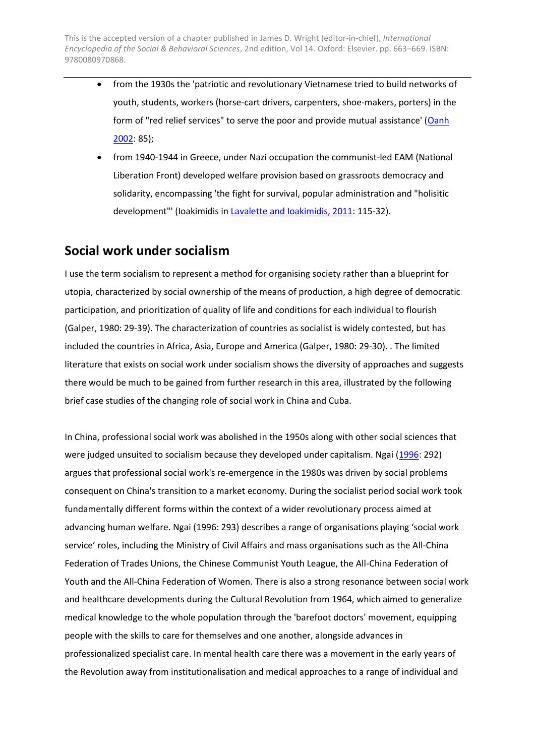- from the 1930s the 'patriotic and revolutionary Vietnamese tried to build networks of youth, students, workers (horse-cart drivers, carpenters, shoe-makers, porters) in the form of "red relief services" to serve the poor and provide mutual assistance' [\(Oanh](#page-14-5)  [2002:](#page-14-5) 85);
- from 1940-1944 in Greece, under Nazi occupation the communist-led EAM (National Liberation Front) developed welfare provision based on grassroots democracy and solidarity, encompassing 'the fight for survival, popular administration and "holisitic development"' (Ioakimidis i[n Lavalette and Ioakimidis, 2011:](#page-13-9) 115-32).

# **Social work under socialism**

I use the term socialism to represent a method for organising society rather than a blueprint for utopia, characterized by social ownership of the means of production, a high degree of democratic participation, and prioritization of quality of life and conditions for each individual to flourish (Galper, 1980: 29-39). The characterization of countries as socialist is widely contested, but has included the countries in Africa, Asia, Europe and America (Galper, 1980: 29-30). . The limited literature that exists on social work under socialism shows the diversity of approaches and suggests there would be much to be gained from further research in this area, illustrated by the following brief case studies of the changing role of social work in China and Cuba.

In China, professional social work was abolished in the 1950s along with other social sciences that were judged unsuited to socialism because they developed under capitalism. Ngai [\(1996:](#page-14-6) 292) argues that professional social work's re-emergence in the 1980s was driven by social problems consequent on China's transition to a market economy. During the socialist period social work took fundamentally different forms within the context of a wider revolutionary process aimed at advancing human welfare. Ngai (1996: 293) describes a range of organisations playing 'social work service' roles, including the Ministry of Civil Affairs and mass organisations such as the All-China Federation of Trades Unions, the Chinese Communist Youth League, the All-China Federation of Youth and the All-China Federation of Women. There is also a strong resonance between social work and healthcare developments during the Cultural Revolution from 1964, which aimed to generalize medical knowledge to the whole population through the 'barefoot doctors' movement, equipping people with the skills to care for themselves and one another, alongside advances in professionalized specialist care. In mental health care there was a movement in the early years of the Revolution away from institutionalisation and medical approaches to a range of individual and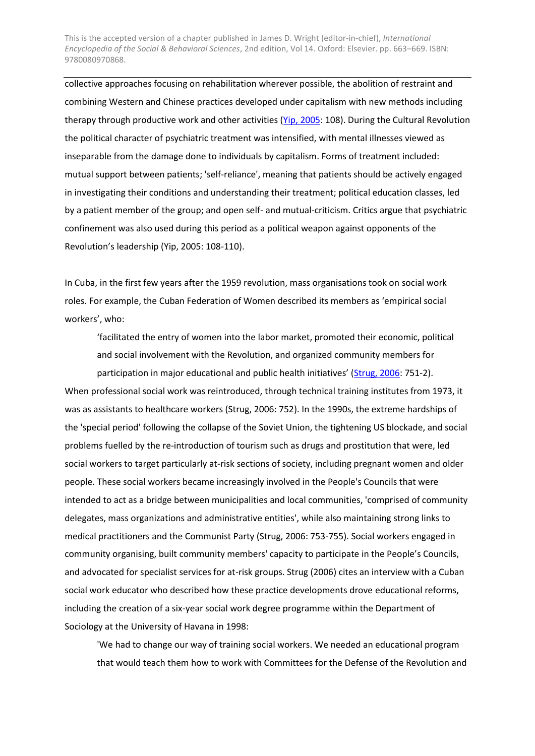collective approaches focusing on rehabilitation wherever possible, the abolition of restraint and combining Western and Chinese practices developed under capitalism with new methods including therapy through productive work and other activities [\(Yip, 2005:](#page-14-7) 108). During the Cultural Revolution the political character of psychiatric treatment was intensified, with mental illnesses viewed as inseparable from the damage done to individuals by capitalism. Forms of treatment included: mutual support between patients; 'self-reliance', meaning that patients should be actively engaged in investigating their conditions and understanding their treatment; political education classes, led by a patient member of the group; and open self- and mutual-criticism. Critics argue that psychiatric confinement was also used during this period as a political weapon against opponents of the Revolution's leadership (Yip, 2005: 108-110).

In Cuba, in the first few years after the 1959 revolution, mass organisations took on social work roles. For example, the Cuban Federation of Women described its members as 'empirical social workers', who:

'facilitated the entry of women into the labor market, promoted their economic, political and social involvement with the Revolution, and organized community members for participation in major educational and public health initiatives' ([Strug, 2006:](#page-14-8) 751-2).

When professional social work was reintroduced, through technical training institutes from 1973, it was as assistants to healthcare workers (Strug, 2006: 752). In the 1990s, the extreme hardships of the 'special period' following the collapse of the Soviet Union, the tightening US blockade, and social problems fuelled by the re-introduction of tourism such as drugs and prostitution that were, led social workers to target particularly at-risk sections of society, including pregnant women and older people. These social workers became increasingly involved in the People's Councils that were intended to act as a bridge between municipalities and local communities, 'comprised of community delegates, mass organizations and administrative entities', while also maintaining strong links to medical practitioners and the Communist Party (Strug, 2006: 753-755). Social workers engaged in community organising, built community members' capacity to participate in the People's Councils, and advocated for specialist services for at-risk groups. Strug (2006) cites an interview with a Cuban social work educator who described how these practice developments drove educational reforms, including the creation of a six-year social work degree programme within the Department of Sociology at the University of Havana in 1998:

'We had to change our way of training social workers. We needed an educational program that would teach them how to work with Committees for the Defense of the Revolution and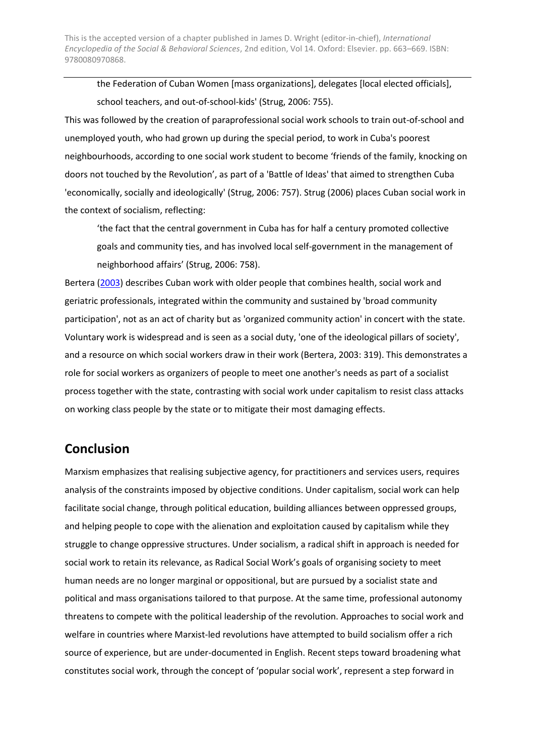the Federation of Cuban Women [mass organizations], delegates [local elected officials], school teachers, and out-of-school-kids' (Strug, 2006: 755).

This was followed by the creation of paraprofessional social work schools to train out-of-school and unemployed youth, who had grown up during the special period, to work in Cuba's poorest neighbourhoods, according to one social work student to become 'friends of the family, knocking on doors not touched by the Revolution', as part of a 'Battle of Ideas' that aimed to strengthen Cuba 'economically, socially and ideologically' (Strug, 2006: 757). Strug (2006) places Cuban social work in the context of socialism, reflecting:

'the fact that the central government in Cuba has for half a century promoted collective goals and community ties, and has involved local self-government in the management of neighborhood affairs' (Strug, 2006: 758).

Bertera [\(2003\)](#page-13-10) describes Cuban work with older people that combines health, social work and geriatric professionals, integrated within the community and sustained by 'broad community participation', not as an act of charity but as 'organized community action' in concert with the state. Voluntary work is widespread and is seen as a social duty, 'one of the ideological pillars of society', and a resource on which social workers draw in their work (Bertera, 2003: 319). This demonstrates a role for social workers as organizers of people to meet one another's needs as part of a socialist process together with the state, contrasting with social work under capitalism to resist class attacks on working class people by the state or to mitigate their most damaging effects.

# **Conclusion**

Marxism emphasizes that realising subjective agency, for practitioners and services users, requires analysis of the constraints imposed by objective conditions. Under capitalism, social work can help facilitate social change, through political education, building alliances between oppressed groups, and helping people to cope with the alienation and exploitation caused by capitalism while they struggle to change oppressive structures. Under socialism, a radical shift in approach is needed for social work to retain its relevance, as Radical Social Work's goals of organising society to meet human needs are no longer marginal or oppositional, but are pursued by a socialist state and political and mass organisations tailored to that purpose. At the same time, professional autonomy threatens to compete with the political leadership of the revolution. Approaches to social work and welfare in countries where Marxist-led revolutions have attempted to build socialism offer a rich source of experience, but are under-documented in English. Recent steps toward broadening what constitutes social work, through the concept of 'popular social work', represent a step forward in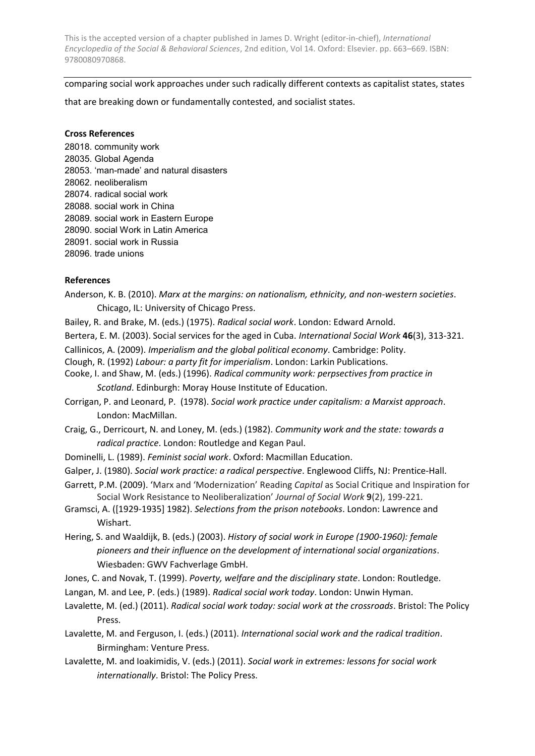comparing social work approaches under such radically different contexts as capitalist states, states

that are breaking down or fundamentally contested, and socialist states.

#### **Cross References**

28018. community work 28035. Global Agenda 28053. 'man-made' and natural disasters 28062. neoliberalism 28074. radical social work 28088. social work in China 28089. social work in Eastern Europe 28090. social Work in Latin America 28091. social work in Russia 28096. trade unions

#### **References**

<span id="page-13-3"></span>Anderson, K. B. (2010). *Marx at the margins: on nationalism, ethnicity, and non-western societies*. Chicago, IL: University of Chicago Press.

Bailey, R. and Brake, M. (eds.) (1975). *Radical social work*. London: Edward Arnold.

- <span id="page-13-10"></span>Bertera, E. M. (2003). Social services for the aged in Cuba. *International Social Work* **46**(3), 313-321.
- <span id="page-13-7"></span>Callinicos, A. (2009). *Imperialism and the global political economy*. Cambridge: Polity.
- Clough, R. (1992) *Labour: a party fit for imperialism*. London: Larkin Publications.
- Cooke, I. and Shaw, M. (eds.) (1996). *Radical community work: perpsectives from practice in Scotland*. Edinburgh: Moray House Institute of Education.
- <span id="page-13-0"></span>Corrigan, P. and Leonard, P. (1978). *Social work practice under capitalism: a Marxist approach*. London: MacMillan.
- <span id="page-13-6"></span>Craig, G., Derricourt, N. and Loney, M. (eds.) (1982). *Community work and the state: towards a radical practice*. London: Routledge and Kegan Paul.
- <span id="page-13-1"></span>Dominelli, L. (1989). *Feminist social work*. Oxford: Macmillan Education.
- Galper, J. (1980). *Social work practice: a radical perspective*. Englewood Cliffs, NJ: Prentice-Hall.

<span id="page-13-2"></span>Garrett, P.M. (2009). 'Marx and 'Modernization' Reading *Capital* as Social Critique and Inspiration for Social Work Resistance to Neoliberalization' *Journal of Social Work* **9**(2), 199-221.

- Gramsci, A. ([1929-1935] 1982). *Selections from the prison notebooks*. London: Lawrence and Wishart.
- <span id="page-13-8"></span>Hering, S. and Waaldijk, B. (eds.) (2003). *History of social work in Europe (1900-1960): female pioneers and their influence on the development of international social organizations*. Wiesbaden: GWV Fachverlage GmbH.

<span id="page-13-4"></span>Jones, C. and Novak, T. (1999). *Poverty, welfare and the disciplinary state*. London: Routledge.

- Langan, M. and Lee, P. (eds.) (1989). *Radical social work today*. London: Unwin Hyman.
- Lavalette, M. (ed.) (2011). *Radical social work today: social work at the crossroads*. Bristol: The Policy Press.
- <span id="page-13-5"></span>Lavalette, M. and Ferguson, I. (eds.) (2011). *International social work and the radical tradition*. Birmingham: Venture Press.
- <span id="page-13-9"></span>Lavalette, M. and Ioakimidis, V. (eds.) (2011). *Social work in extremes: lessons for social work internationally*. Bristol: The Policy Press.